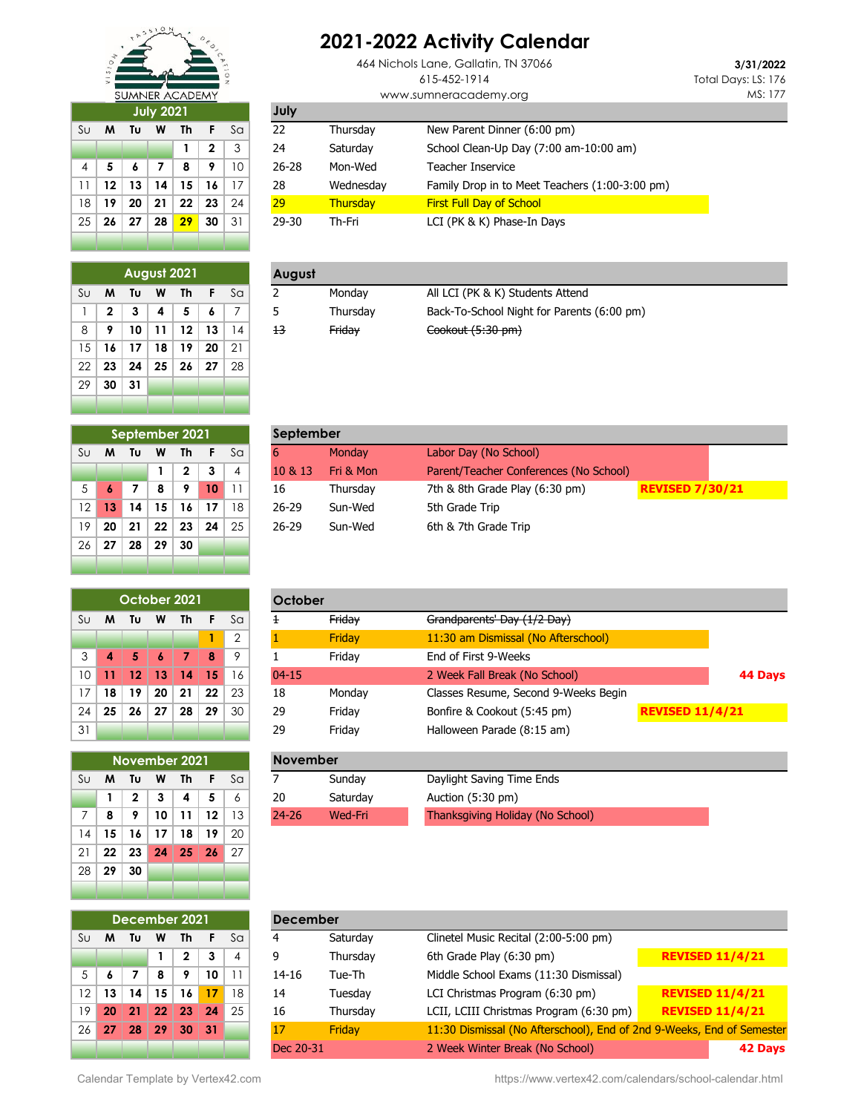

## **July 2021**

|                | August 2021  |    |    |    |    |    |
|----------------|--------------|----|----|----|----|----|
| S <sub>U</sub> | м            | Tυ | W  | Th | F  | Sa |
| 1              | $\mathbf{2}$ | 3  | 4  | 5  | 6  | 7  |
| 8              | 9            | 10 | 11 | 12 | 13 | 14 |
| 15             | 16           | 17 | 18 | 19 | 20 | 21 |
| 22             | 23           | 24 | 25 | 26 | 27 | 28 |
| 29             | 30           | 31 |    |    |    |    |
|                |              |    |    |    |    |    |

## **2021-2022 Activity Calendar**

464 Nichols Lane, Gallatin, TN 37066 615-452-1914 www.sumneracademy.org

**3/31/2022** Total Days: LS: 176 MS: 177

|                 | <b>July 2021</b> |    |     |    |    |    | July      |           |                                                |
|-----------------|------------------|----|-----|----|----|----|-----------|-----------|------------------------------------------------|
| Sul             | M                | Tυ | W   | Th |    | Sa | 22        | Thursday  | New Parent Dinner (6:00 pm)                    |
|                 |                  |    |     |    | 2  | 3  | 24        | Saturday  | School Clean-Up Day (7:00 am-10:00 am)         |
| $\overline{4}$  |                  |    |     | 8  | 9  | 10 | $26 - 28$ | Mon-Wed   | Teacher Inservice                              |
| 11.             | 12               | 13 | 14  | 15 | 16 |    | 28        | Wednesday | Family Drop in to Meet Teachers (1:00-3:00 pm) |
| 18 <sup>1</sup> | 19               | 20 | -21 | 22 | 23 | 24 | 29        | Thursday  | <b>First Full Day of School</b>                |
| 25 I            | 26               | 27 | 28  | 29 | 30 | 31 | 29-30     | Th-Fri    | LCI (PK & K) Phase-In Days                     |

| August 2021 |   |    |   |    |    |     | August |          |                                            |
|-------------|---|----|---|----|----|-----|--------|----------|--------------------------------------------|
| Sυ          | M | Τυ | W | Th |    | -Sa |        | Mondav   | All LCI (PK & K) Students Attend           |
|             |   |    |   |    |    |     |        | Thursdav | Back-To-School Night for Parents (6:00 pm) |
| 8           |   | 10 |   | 12 | 13 |     | 13     | Friday   | Cookout (5:30 pm)                          |
|             |   |    |   |    |    |     |        |          |                                            |

| September 2021 |    |     |                  |              |    |                |
|----------------|----|-----|------------------|--------------|----|----------------|
| Su             | M  | Tυ  | W                | Th           | F  | Sa             |
|                |    |     | 1                | $\mathbf{2}$ | 3  | $\overline{4}$ |
| 5              | 6  | 7   | 8                | 9            | 10 | 11             |
| 12             | 13 | 14  | 15               | 16           | 17 | 18             |
| 19             | 20 | 21  | $22\phantom{.0}$ | 23           | 24 | 25             |
| 26             | 27 | -28 | -29              | 30           |    |                |
|                |    |     |                  |              |    |                |

| October 2021 |    |                 |    |     |     |                |
|--------------|----|-----------------|----|-----|-----|----------------|
| Su           | M  | Tυ              | w  | Th  | F   | Sa             |
|              |    |                 |    |     | 1   | $\overline{2}$ |
| 3            | 4  | 5.              | 6  | 7   | 8   | 9              |
| 10           | 11 | 12 <sup>7</sup> | 13 | 14  | -15 | 16             |
| 17           | 18 | 19              | 20 | -21 | 22  | 23             |
| 24           | 25 | 26              | 27 | 28  | -29 | 30             |
| 31           |    |                 |    |     |     |                |

|    |    |              |    | November 2021 |    |    |
|----|----|--------------|----|---------------|----|----|
| Su | M  | Tυ           | W  | Th            | F  | Sa |
|    | 1  | $\mathbf{2}$ | 3  | 4             | 5  | 6  |
| 7  | 8  | 9            | 10 | 11            | 12 | 13 |
| 14 | 15 | 16           | 17 | 18            | 19 | 20 |
| 21 | 22 | 23           | 24 | 25            | 26 | 27 |
| 28 | 29 | 30           |    |               |    |    |
|    |    |              |    |               |    |    |

| September 2021<br>Sul |    |    |           |    |    |           | September |                                                          |  |  |  |  |
|-----------------------|----|----|-----------|----|----|-----------|-----------|----------------------------------------------------------|--|--|--|--|
| M                     | Τu | W  | Th        |    | Sa |           | Monday    | Labor Day (No School)                                    |  |  |  |  |
|                       |    |    | 2         |    | 4  | 10 & 13   | Fri & Mon | Parent/Teacher Conferences (No School)                   |  |  |  |  |
|                       |    | 8  | $\bullet$ | 10 |    | 16        | Thursdav  | 7th & 8th Grade Play (6:30 pm)<br><b>REVISED 7/30/21</b> |  |  |  |  |
| 13                    | 14 | 15 | 16        | 17 | 18 | $26 - 29$ | Sun-Wed   | 5th Grade Trip                                           |  |  |  |  |
| 20                    | 21 | 22 | 23        | 24 | 25 | $26 - 29$ | Sun-Wed   | 6th & 7th Grade Trip                                     |  |  |  |  |
|                       |    |    |           |    |    |           |           |                                                          |  |  |  |  |

|    |    | October 2021  |    |    |    |    | October         |                                                    |                                      |                        |         |
|----|----|---------------|----|----|----|----|-----------------|----------------------------------------------------|--------------------------------------|------------------------|---------|
| Su | M  | Tυ            | W  | Th | F  | Sa | Ŧ               | Friday                                             | Grandparents' Day (1/2 Day)          |                        |         |
|    |    |               |    |    |    | 2  |                 | Friday                                             | 11:30 am Dismissal (No Afterschool)  |                        |         |
| 3  | 4  | 5             | 6  | 7  | 8  | 9  |                 | Friday                                             | End of First 9-Weeks                 |                        |         |
| 10 | 11 | 12            | 13 | 14 | 15 | 16 | $04 - 15$       |                                                    | 2 Week Fall Break (No School)        |                        | 44 Days |
| 17 | 18 | 19            | 20 | 21 | 22 | 23 | 18              | Monday                                             | Classes Resume, Second 9-Weeks Begin |                        |         |
| 24 | 25 | 26            | 27 | 28 | 29 | 30 | 29              | Friday                                             | Bonfire & Cookout (5:45 pm)          | <b>REVISED 11/4/21</b> |         |
| 31 |    |               |    |    |    |    | 29              | Friday                                             | Halloween Parade (8:15 am)           |                        |         |
|    |    |               |    |    |    |    |                 |                                                    |                                      |                        |         |
|    |    | November 2021 |    |    |    |    | <b>November</b> |                                                    |                                      |                        |         |
| Su | M  | Tυ            | W  | Th | F  | Sa |                 | Sunday                                             | Daylight Saving Time Ends            |                        |         |
|    |    | 2             | 3  | 4  | 5  | 6  | 20              | Saturday                                           | Auction (5:30 pm)                    |                        |         |
| 7  | 8  | 9             | 10 | 11 | 12 | 13 | $24 - 26$       | Thanksgiving Holiday (No School)<br><b>Wed-Fri</b> |                                      |                        |         |

| December 2021  |    |    |    |              |    |                |  |
|----------------|----|----|----|--------------|----|----------------|--|
|                |    |    |    |              |    |                |  |
| S <sub>U</sub> | M  | Tυ | W  | Th           | F  | Sa             |  |
|                |    |    | 1  | $\mathbf{2}$ | 3  | $\overline{4}$ |  |
| 5              | 6  | 7  | 8  | 9            | 10 | 11             |  |
| 12             | 13 | 14 | 15 | 16           | 17 | 18             |  |
| 19             | 20 | 21 | 22 | 23           | 24 | 25             |  |
| 26             | 27 | 28 | 29 | 30           | 31 |                |  |
|                |    |    |    |              |    |                |  |

|                 |     |    |    | December 2021 |    |                | <b>December</b> |          |                                                                       |                        |
|-----------------|-----|----|----|---------------|----|----------------|-----------------|----------|-----------------------------------------------------------------------|------------------------|
| Su              | м   | Τυ | W  | Th            |    | S <sub>G</sub> | 4               | Saturday | Clinetel Music Recital (2:00-5:00 pm)                                 |                        |
|                 |     |    |    | 2             | 3  | 4              | 9               | Thursday | 6th Grade Play (6:30 pm)                                              | <b>REVISED 11/4/21</b> |
| 5 <sup>1</sup>  | 6   |    | 8  | 9             | 10 |                | $14 - 16$       | Tue-Th   | Middle School Exams (11:30 Dismissal)                                 |                        |
| 12 <sup>1</sup> | 13  | 14 | 15 | 16            | 17 | 18             | 14              | Tuesday  | LCI Christmas Program (6:30 pm)                                       | <b>REVISED 11/4/21</b> |
| 19 <sub>1</sub> | 20  | 21 | 22 | 23            | 24 | 25             | 16              | Thursday | LCII, LCIII Christmas Program (6:30 pm)                               | <b>REVISED 11/4/21</b> |
| 26              | -27 | 28 | 29 | 30            | 31 |                |                 | Fridav   | 11:30 Dismissal (No Afterschool), End of 2nd 9-Weeks, End of Semester |                        |
|                 |     |    |    |               |    |                | Dec 20-31       |          | 2 Week Winter Break (No School)                                       | 42 Days                |

Calendar Template by Vertex42.com **https://www.vertex42.com/calendars/school-calendar.html**